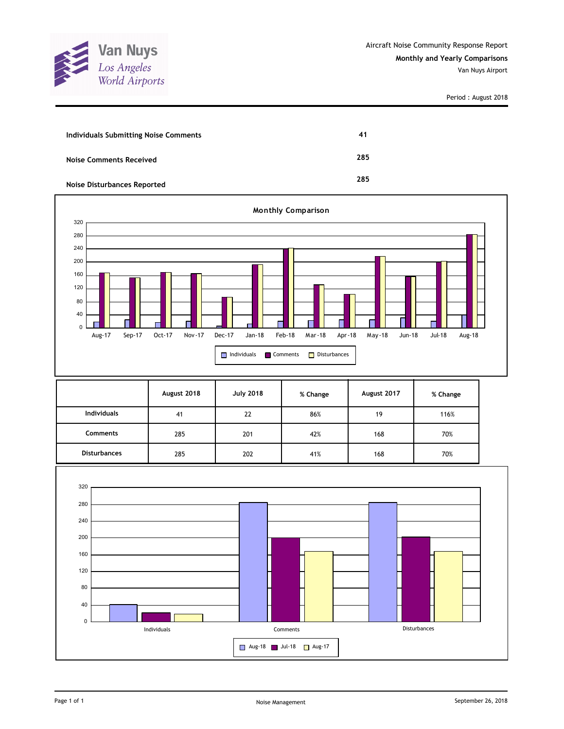

| <b>Individuals Submitting Noise Comments</b> | 41  |
|----------------------------------------------|-----|
| <b>Noise Comments Received</b>               | 285 |
| <b>Noise Disturbances Reported</b>           | 285 |



|                     | August 2018 | <b>July 2018</b> | % Change | August 2017 | % Change |
|---------------------|-------------|------------------|----------|-------------|----------|
| <b>Individuals</b>  | 41          | 22               | 86%      | 19          | 116%     |
| <b>Comments</b>     | 285         | 201              | 42%      | 168         | 70%      |
| <b>Disturbances</b> | 285         | 202              | 41%      | 168         | 70%      |

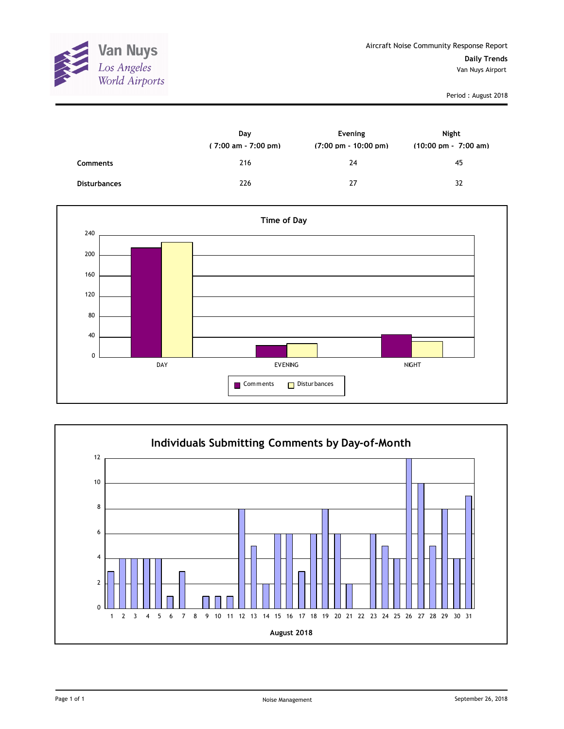

|                     | Day<br>$(7:00 \text{ am} - 7:00 \text{ pm})$ | Evening<br>$(7:00 \text{ pm} - 10:00 \text{ pm})$ | Night<br>$(10:00 \text{ pm} - 7:00 \text{ am})$ |
|---------------------|----------------------------------------------|---------------------------------------------------|-------------------------------------------------|
| Comments            | 216                                          | 24                                                | 45                                              |
| <b>Disturbances</b> | 226                                          | 27                                                | 32                                              |



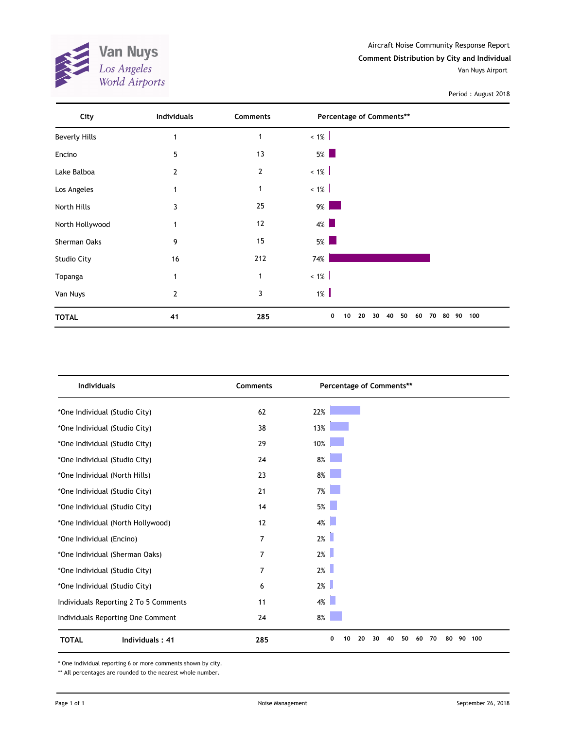

| City                 | <b>Individuals</b> | Comments       | Percentage of Comments**                                                                                                |           |
|----------------------|--------------------|----------------|-------------------------------------------------------------------------------------------------------------------------|-----------|
| <b>Beverly Hills</b> | 1                  | $\mathbf{1}$   | $~1\%$                                                                                                                  |           |
| Encino               | 5                  | 13             | $5\%$                                                                                                                   |           |
| Lake Balboa          | $\overline{2}$     | $\overline{2}$ | $< 1\%$                                                                                                                 |           |
| Los Angeles          | 1                  | $\mathbf{1}$   | $< 1\%$                                                                                                                 |           |
| North Hills          | 3                  | 25             | $9\%$<br>and the state of the state of the state of the state of the state of the state of the state of the state of th |           |
| North Hollywood      | $\mathbf{1}$       | 12             | $4\%$                                                                                                                   |           |
| Sherman Oaks         | 9                  | 15             | $5\%$                                                                                                                   |           |
| <b>Studio City</b>   | 16                 | 212            | 74%                                                                                                                     |           |
| Topanga              | 1                  | $\mathbf 1$    | $< 1\%$                                                                                                                 |           |
| Van Nuys             | $\overline{2}$     | 3              | $1\%$                                                                                                                   |           |
| <b>TOTAL</b>         | 41                 | 285            | 0<br>50<br>10<br>20<br>40<br>60<br>70<br>80<br>30                                                                       | 100<br>90 |

| <b>Individuals</b>                     | <b>Comments</b> | Percentage of Comments**                    |                 |
|----------------------------------------|-----------------|---------------------------------------------|-----------------|
| *One Individual (Studio City)          | 62              | 22%                                         |                 |
| *One Individual (Studio City)          | 38              | 13%                                         |                 |
| *One Individual (Studio City)          | 29              | 10%                                         |                 |
| *One Individual (Studio City)          | 24              | 8%                                          |                 |
| *One Individual (North Hills)          | 23              | $8\%$                                       |                 |
| *One Individual (Studio City)          | 21              | $7\%$                                       |                 |
| *One Individual (Studio City)          | 14              | 5%                                          |                 |
| *One Individual (North Hollywood)      | 12              | $4\%$                                       |                 |
| *One Individual (Encino)               | 7               | 2%                                          |                 |
| *One Individual (Sherman Oaks)         | 7               | 2%                                          |                 |
| *One Individual (Studio City)          | 7               | 2%                                          |                 |
| *One Individual (Studio City)          | 6               | 2%                                          |                 |
| Individuals Reporting 2 To 5 Comments  | 11              | 4%                                          |                 |
| Individuals Reporting One Comment      | 24              | 8%                                          |                 |
| <b>Individuals: 41</b><br><b>TOTAL</b> | 285             | 0<br>10<br>20<br>30<br>40<br>50<br>60<br>70 | 100<br>80<br>90 |

\* One individual reporting 6 or more comments shown by city.

\*\* All percentages are rounded to the nearest whole number.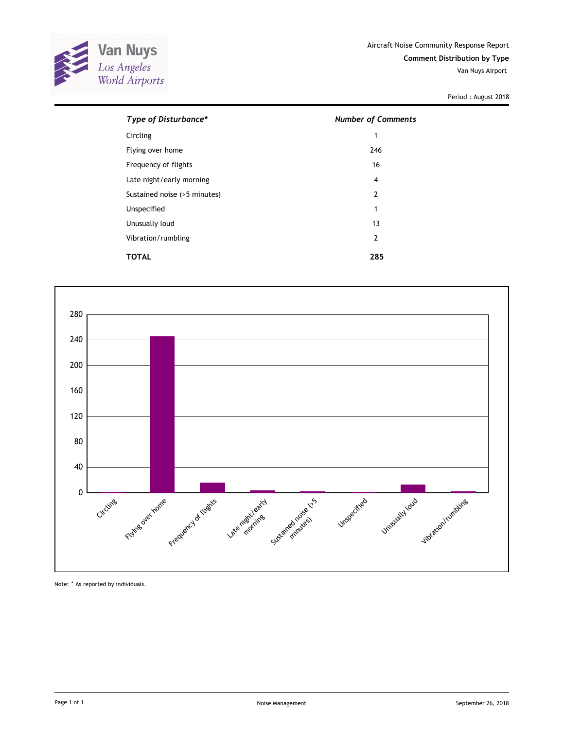

| Type of Disturbance*         | <b>Number of Comments</b> |  |  |  |
|------------------------------|---------------------------|--|--|--|
| Circling                     | 1                         |  |  |  |
| Flying over home             | 246                       |  |  |  |
| Frequency of flights         | 16                        |  |  |  |
| Late night/early morning     | 4                         |  |  |  |
| Sustained noise (>5 minutes) | 2                         |  |  |  |
| Unspecified                  | 1                         |  |  |  |
| Unusually loud               | 13                        |  |  |  |
| Vibration/rumbling           | $\overline{2}$            |  |  |  |
| TOTAL                        | 285                       |  |  |  |



Note: \* As reported by individuals.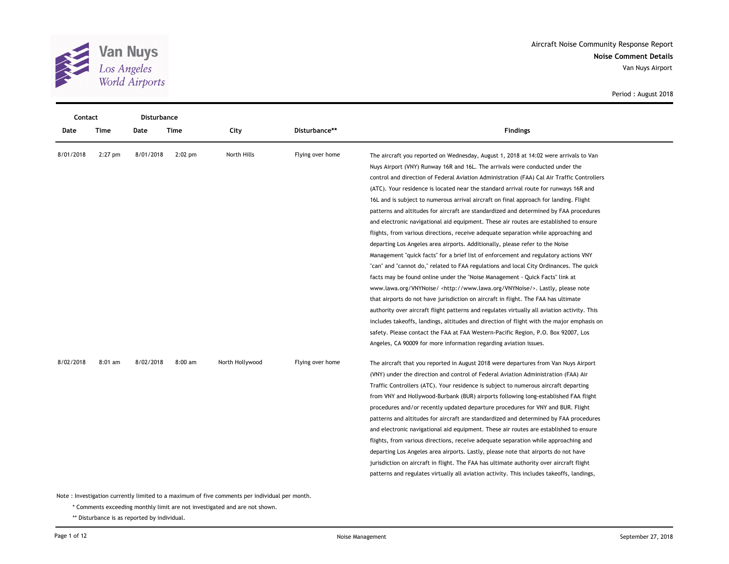

| Contact   |           | Disturbance |           |                 |                  |                                                                                                                                                                                                                                                                                                                                                                                                                                                                                                                                                                                                                                                                                                                                                                                                                                                                                                                                                                                                                                                                                                                                                                                                                                                                                                                                                                                                                                                                                                                                                                                                                       |
|-----------|-----------|-------------|-----------|-----------------|------------------|-----------------------------------------------------------------------------------------------------------------------------------------------------------------------------------------------------------------------------------------------------------------------------------------------------------------------------------------------------------------------------------------------------------------------------------------------------------------------------------------------------------------------------------------------------------------------------------------------------------------------------------------------------------------------------------------------------------------------------------------------------------------------------------------------------------------------------------------------------------------------------------------------------------------------------------------------------------------------------------------------------------------------------------------------------------------------------------------------------------------------------------------------------------------------------------------------------------------------------------------------------------------------------------------------------------------------------------------------------------------------------------------------------------------------------------------------------------------------------------------------------------------------------------------------------------------------------------------------------------------------|
| Date      | Time      | Date        | Time      | City            | Disturbance**    | <b>Findings</b>                                                                                                                                                                                                                                                                                                                                                                                                                                                                                                                                                                                                                                                                                                                                                                                                                                                                                                                                                                                                                                                                                                                                                                                                                                                                                                                                                                                                                                                                                                                                                                                                       |
| 8/01/2018 | $2:27$ pm | 8/01/2018   | $2:02$ pm | North Hills     | Flying over home | The aircraft you reported on Wednesday, August 1, 2018 at 14:02 were arrivals to Van<br>Nuys Airport (VNY) Runway 16R and 16L. The arrivals were conducted under the<br>control and direction of Federal Aviation Administration (FAA) Cal Air Traffic Controllers<br>(ATC). Your residence is located near the standard arrival route for runways 16R and<br>16L and is subject to numerous arrival aircraft on final approach for landing. Flight<br>patterns and altitudes for aircraft are standardized and determined by FAA procedures<br>and electronic navigational aid equipment. These air routes are established to ensure<br>flights, from various directions, receive adequate separation while approaching and<br>departing Los Angeles area airports. Additionally, please refer to the Noise<br>Management "quick facts" for a brief list of enforcement and regulatory actions VNY<br>"can" and "cannot do," related to FAA regulations and local City Ordinances. The quick<br>facts may be found online under the "Noise Management - Quick Facts" link at<br>www.lawa.org/VNYNoise/ <http: vnynoise="" www.lawa.org=""></http:> . Lastly, please note<br>that airports do not have jurisdiction on aircraft in flight. The FAA has ultimate<br>authority over aircraft flight patterns and regulates virtually all aviation activity. This<br>includes takeoffs, landings, altitudes and direction of flight with the major emphasis on<br>safety. Please contact the FAA at FAA Western-Pacific Region, P.O. Box 92007, Los<br>Angeles, CA 90009 for more information regarding aviation issues. |
| 8/02/2018 | $8:01$ am | 8/02/2018   | 8:00 am   | North Hollywood | Flying over home | The aircraft that you reported in August 2018 were departures from Van Nuys Airport<br>(VNY) under the direction and control of Federal Aviation Administration (FAA) Air<br>Traffic Controllers (ATC). Your residence is subject to numerous aircraft departing<br>from VNY and Hollywood-Burbank (BUR) airports following long-established FAA flight<br>procedures and/or recently updated departure procedures for VNY and BUR. Flight<br>patterns and altitudes for aircraft are standardized and determined by FAA procedures<br>and electronic navigational aid equipment. These air routes are established to ensure<br>flights, from various directions, receive adequate separation while approaching and<br>departing Los Angeles area airports. Lastly, please note that airports do not have<br>jurisdiction on aircraft in flight. The FAA has ultimate authority over aircraft flight<br>patterns and regulates virtually all aviation activity. This includes takeoffs, landings,                                                                                                                                                                                                                                                                                                                                                                                                                                                                                                                                                                                                                     |

\* Comments exceeding monthly limit are not investigated and are not shown.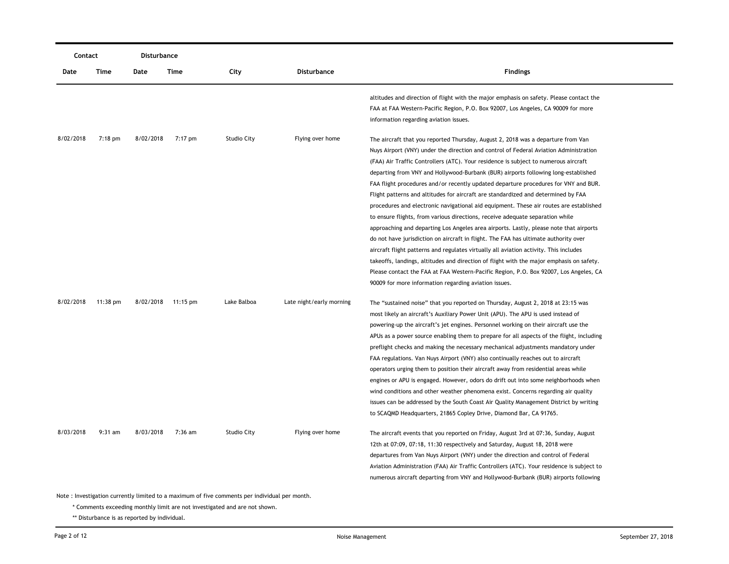|           | Contact<br>Disturbance                                                                         |           |                    |             |                          |                                                                                                                                                                                                                                                                                                                                                                                                                                                                                                                                                                                                                                                                                                                                                                                                                                                                                                                                                                  |  |  |  |
|-----------|------------------------------------------------------------------------------------------------|-----------|--------------------|-------------|--------------------------|------------------------------------------------------------------------------------------------------------------------------------------------------------------------------------------------------------------------------------------------------------------------------------------------------------------------------------------------------------------------------------------------------------------------------------------------------------------------------------------------------------------------------------------------------------------------------------------------------------------------------------------------------------------------------------------------------------------------------------------------------------------------------------------------------------------------------------------------------------------------------------------------------------------------------------------------------------------|--|--|--|
| Date      | Time                                                                                           | Date      | Time               | City        | <b>Disturbance</b>       | <b>Findings</b>                                                                                                                                                                                                                                                                                                                                                                                                                                                                                                                                                                                                                                                                                                                                                                                                                                                                                                                                                  |  |  |  |
|           |                                                                                                |           |                    |             |                          | altitudes and direction of flight with the major emphasis on safety. Please contact the<br>FAA at FAA Western-Pacific Region, P.O. Box 92007, Los Angeles, CA 90009 for more<br>information regarding aviation issues.                                                                                                                                                                                                                                                                                                                                                                                                                                                                                                                                                                                                                                                                                                                                           |  |  |  |
| 8/02/2018 | $7:18$ pm                                                                                      | 8/02/2018 | 7:17 pm            | Studio City | Flying over home         | The aircraft that you reported Thursday, August 2, 2018 was a departure from Van<br>Nuys Airport (VNY) under the direction and control of Federal Aviation Administration<br>(FAA) Air Traffic Controllers (ATC). Your residence is subject to numerous aircraft                                                                                                                                                                                                                                                                                                                                                                                                                                                                                                                                                                                                                                                                                                 |  |  |  |
|           |                                                                                                |           |                    |             |                          | departing from VNY and Hollywood-Burbank (BUR) airports following long-established<br>FAA flight procedures and/or recently updated departure procedures for VNY and BUR.<br>Flight patterns and altitudes for aircraft are standardized and determined by FAA<br>procedures and electronic navigational aid equipment. These air routes are established<br>to ensure flights, from various directions, receive adequate separation while<br>approaching and departing Los Angeles area airports. Lastly, please note that airports<br>do not have jurisdiction on aircraft in flight. The FAA has ultimate authority over                                                                                                                                                                                                                                                                                                                                       |  |  |  |
|           |                                                                                                |           |                    |             |                          | aircraft flight patterns and regulates virtually all aviation activity. This includes<br>takeoffs, landings, altitudes and direction of flight with the major emphasis on safety.<br>Please contact the FAA at FAA Western-Pacific Region, P.O. Box 92007, Los Angeles, CA<br>90009 for more information regarding aviation issues.                                                                                                                                                                                                                                                                                                                                                                                                                                                                                                                                                                                                                              |  |  |  |
| 8/02/2018 | $11:38 \text{ pm}$                                                                             |           | 8/02/2018 11:15 pm | Lake Balboa | Late night/early morning | The "sustained noise" that you reported on Thursday, August 2, 2018 at 23:15 was<br>most likely an aircraft's Auxiliary Power Unit (APU). The APU is used instead of<br>powering-up the aircraft's jet engines. Personnel working on their aircraft use the<br>APUs as a power source enabling them to prepare for all aspects of the flight, including<br>preflight checks and making the necessary mechanical adjustments mandatory under<br>FAA regulations. Van Nuys Airport (VNY) also continually reaches out to aircraft<br>operators urging them to position their aircraft away from residential areas while<br>engines or APU is engaged. However, odors do drift out into some neighborhoods when<br>wind conditions and other weather phenomena exist. Concerns regarding air quality<br>issues can be addressed by the South Coast Air Quality Management District by writing<br>to SCAQMD Headquarters, 21865 Copley Drive, Diamond Bar, CA 91765. |  |  |  |
| 8/03/2018 | $9:31$ am                                                                                      | 8/03/2018 | $7:36$ am          | Studio City | Flying over home         | The aircraft events that you reported on Friday, August 3rd at 07:36, Sunday, August<br>12th at 07:09, 07:18, 11:30 respectively and Saturday, August 18, 2018 were<br>departures from Van Nuys Airport (VNY) under the direction and control of Federal<br>Aviation Administration (FAA) Air Traffic Controllers (ATC). Your residence is subject to<br>numerous aircraft departing from VNY and Hollywood-Burbank (BUR) airports following                                                                                                                                                                                                                                                                                                                                                                                                                                                                                                                     |  |  |  |
|           | Note : Investigation currently limited to a maximum of five comments per individual per month. |           |                    |             |                          |                                                                                                                                                                                                                                                                                                                                                                                                                                                                                                                                                                                                                                                                                                                                                                                                                                                                                                                                                                  |  |  |  |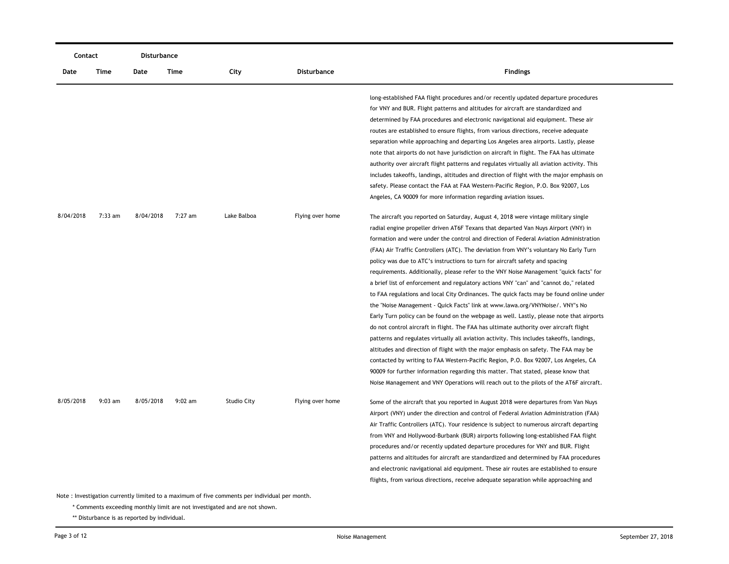|                                                                                               | Contact   |           | Disturbance |             |                  |                                                                                                                                                                                                                                                                                                                                                                                                                                                                                                                                                                                                                                                                                                                                                                                                                                                                                                                                                                                                                                                                                                                                                                                                                                                                                                                                                                                                                                                            |  |  |
|-----------------------------------------------------------------------------------------------|-----------|-----------|-------------|-------------|------------------|------------------------------------------------------------------------------------------------------------------------------------------------------------------------------------------------------------------------------------------------------------------------------------------------------------------------------------------------------------------------------------------------------------------------------------------------------------------------------------------------------------------------------------------------------------------------------------------------------------------------------------------------------------------------------------------------------------------------------------------------------------------------------------------------------------------------------------------------------------------------------------------------------------------------------------------------------------------------------------------------------------------------------------------------------------------------------------------------------------------------------------------------------------------------------------------------------------------------------------------------------------------------------------------------------------------------------------------------------------------------------------------------------------------------------------------------------------|--|--|
| Date                                                                                          | Time      | Date      | Time        | City        | Disturbance      | <b>Findings</b>                                                                                                                                                                                                                                                                                                                                                                                                                                                                                                                                                                                                                                                                                                                                                                                                                                                                                                                                                                                                                                                                                                                                                                                                                                                                                                                                                                                                                                            |  |  |
|                                                                                               |           |           |             |             |                  | long-established FAA flight procedures and/or recently updated departure procedures<br>for VNY and BUR. Flight patterns and altitudes for aircraft are standardized and<br>determined by FAA procedures and electronic navigational aid equipment. These air<br>routes are established to ensure flights, from various directions, receive adequate<br>separation while approaching and departing Los Angeles area airports. Lastly, please<br>note that airports do not have jurisdiction on aircraft in flight. The FAA has ultimate<br>authority over aircraft flight patterns and regulates virtually all aviation activity. This<br>includes takeoffs, landings, altitudes and direction of flight with the major emphasis on                                                                                                                                                                                                                                                                                                                                                                                                                                                                                                                                                                                                                                                                                                                         |  |  |
|                                                                                               |           |           |             |             |                  | safety. Please contact the FAA at FAA Western-Pacific Region, P.O. Box 92007, Los<br>Angeles, CA 90009 for more information regarding aviation issues.                                                                                                                                                                                                                                                                                                                                                                                                                                                                                                                                                                                                                                                                                                                                                                                                                                                                                                                                                                                                                                                                                                                                                                                                                                                                                                     |  |  |
| 8/04/2018                                                                                     | $7:33$ am | 8/04/2018 | 7:27 am     | Lake Balboa | Flying over home | The aircraft you reported on Saturday, August 4, 2018 were vintage military single<br>radial engine propeller driven AT6F Texans that departed Van Nuys Airport (VNY) in<br>formation and were under the control and direction of Federal Aviation Administration<br>(FAA) Air Traffic Controllers (ATC). The deviation from VNY's voluntary No Early Turn<br>policy was due to ATC's instructions to turn for aircraft safety and spacing<br>requirements. Additionally, please refer to the VNY Noise Management "quick facts" for<br>a brief list of enforcement and regulatory actions VNY "can" and "cannot do," related<br>to FAA regulations and local City Ordinances. The quick facts may be found online under<br>the "Noise Management - Quick Facts" link at www.lawa.org/VNYNoise/. VNY's No<br>Early Turn policy can be found on the webpage as well. Lastly, please note that airports<br>do not control aircraft in flight. The FAA has ultimate authority over aircraft flight<br>patterns and regulates virtually all aviation activity. This includes takeoffs, landings,<br>altitudes and direction of flight with the major emphasis on safety. The FAA may be<br>contacted by writing to FAA Western-Pacific Region, P.O. Box 92007, Los Angeles, CA<br>90009 for further information regarding this matter. That stated, please know that<br>Noise Management and VNY Operations will reach out to the pilots of the AT6F aircraft. |  |  |
| 8/05/2018                                                                                     | $9:03$ am | 8/05/2018 | $9:02$ am   | Studio City | Flying over home | Some of the aircraft that you reported in August 2018 were departures from Van Nuys<br>Airport (VNY) under the direction and control of Federal Aviation Administration (FAA)<br>Air Traffic Controllers (ATC). Your residence is subject to numerous aircraft departing<br>from VNY and Hollywood-Burbank (BUR) airports following long-established FAA flight<br>procedures and/or recently updated departure procedures for VNY and BUR. Flight<br>patterns and altitudes for aircraft are standardized and determined by FAA procedures<br>and electronic navigational aid equipment. These air routes are established to ensure<br>flights, from various directions, receive adequate separation while approaching and                                                                                                                                                                                                                                                                                                                                                                                                                                                                                                                                                                                                                                                                                                                                |  |  |
| Note: Investigation currently limited to a maximum of five comments per individual per month. |           |           |             |             |                  |                                                                                                                                                                                                                                                                                                                                                                                                                                                                                                                                                                                                                                                                                                                                                                                                                                                                                                                                                                                                                                                                                                                                                                                                                                                                                                                                                                                                                                                            |  |  |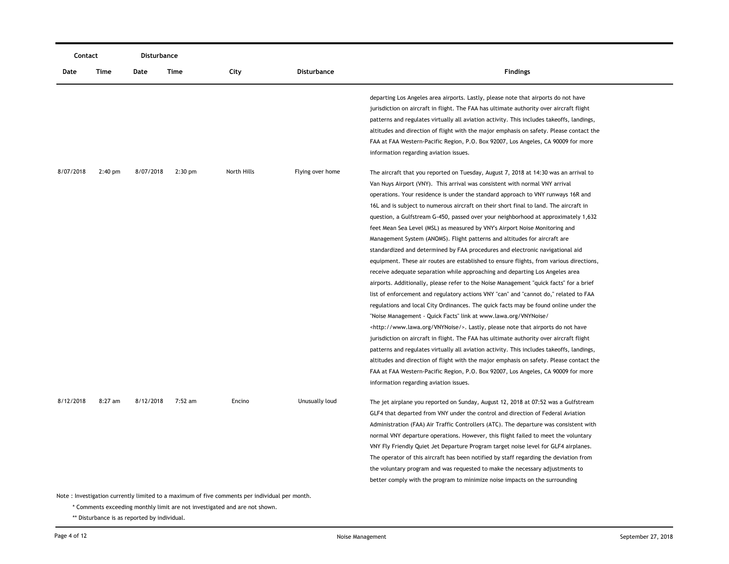|           | Contact                                                                                                                                                                     |           | <b>Disturbance</b> |             |                    |                                                                                                                                                                                                                                                                                                                                                                                                                                                                                                                                                                                                                                                                                                                                                                                                                                                                                                                                                                                                                                                                                                                                                                                                                                                                                                                                                                                                                                                                                                                                                                                                                                                                                                                              |  |  |  |  |
|-----------|-----------------------------------------------------------------------------------------------------------------------------------------------------------------------------|-----------|--------------------|-------------|--------------------|------------------------------------------------------------------------------------------------------------------------------------------------------------------------------------------------------------------------------------------------------------------------------------------------------------------------------------------------------------------------------------------------------------------------------------------------------------------------------------------------------------------------------------------------------------------------------------------------------------------------------------------------------------------------------------------------------------------------------------------------------------------------------------------------------------------------------------------------------------------------------------------------------------------------------------------------------------------------------------------------------------------------------------------------------------------------------------------------------------------------------------------------------------------------------------------------------------------------------------------------------------------------------------------------------------------------------------------------------------------------------------------------------------------------------------------------------------------------------------------------------------------------------------------------------------------------------------------------------------------------------------------------------------------------------------------------------------------------------|--|--|--|--|
| Date      | Time                                                                                                                                                                        | Date      | Time               | City        | <b>Disturbance</b> | <b>Findings</b>                                                                                                                                                                                                                                                                                                                                                                                                                                                                                                                                                                                                                                                                                                                                                                                                                                                                                                                                                                                                                                                                                                                                                                                                                                                                                                                                                                                                                                                                                                                                                                                                                                                                                                              |  |  |  |  |
|           |                                                                                                                                                                             |           |                    |             |                    | departing Los Angeles area airports. Lastly, please note that airports do not have<br>jurisdiction on aircraft in flight. The FAA has ultimate authority over aircraft flight<br>patterns and regulates virtually all aviation activity. This includes takeoffs, landings,<br>altitudes and direction of flight with the major emphasis on safety. Please contact the<br>FAA at FAA Western-Pacific Region, P.O. Box 92007, Los Angeles, CA 90009 for more<br>information regarding aviation issues.                                                                                                                                                                                                                                                                                                                                                                                                                                                                                                                                                                                                                                                                                                                                                                                                                                                                                                                                                                                                                                                                                                                                                                                                                         |  |  |  |  |
| 8/07/2018 | $2:40$ pm                                                                                                                                                                   | 8/07/2018 | $2:30$ pm          | North Hills | Flying over home   | The aircraft that you reported on Tuesday, August 7, 2018 at 14:30 was an arrival to<br>Van Nuys Airport (VNY). This arrival was consistent with normal VNY arrival<br>operations. Your residence is under the standard approach to VNY runways 16R and<br>16L and is subject to numerous aircraft on their short final to land. The aircraft in<br>question, a Gulfstream G-450, passed over your neighborhood at approximately 1,632<br>feet Mean Sea Level (MSL) as measured by VNY's Airport Noise Monitoring and<br>Management System (ANOMS). Flight patterns and altitudes for aircraft are<br>standardized and determined by FAA procedures and electronic navigational aid<br>equipment. These air routes are established to ensure flights, from various directions,<br>receive adequate separation while approaching and departing Los Angeles area<br>airports. Additionally, please refer to the Noise Management "quick facts" for a brief<br>list of enforcement and regulatory actions VNY "can" and "cannot do," related to FAA<br>regulations and local City Ordinances. The quick facts may be found online under the<br>"Noise Management - Quick Facts" link at www.lawa.org/VNYNoise/<br><http: vnynoise="" www.lawa.org=""></http:> . Lastly, please note that airports do not have<br>jurisdiction on aircraft in flight. The FAA has ultimate authority over aircraft flight<br>patterns and regulates virtually all aviation activity. This includes takeoffs, landings,<br>altitudes and direction of flight with the major emphasis on safety. Please contact the<br>FAA at FAA Western-Pacific Region, P.O. Box 92007, Los Angeles, CA 90009 for more<br>information regarding aviation issues. |  |  |  |  |
| 8/12/2018 | 8:27 am                                                                                                                                                                     | 8/12/2018 | 7:52 am            | Encino      | Unusually loud     | The jet airplane you reported on Sunday, August 12, 2018 at 07:52 was a Gulfstream<br>GLF4 that departed from VNY under the control and direction of Federal Aviation<br>Administration (FAA) Air Traffic Controllers (ATC). The departure was consistent with<br>normal VNY departure operations. However, this flight failed to meet the voluntary<br>VNY Fly Friendly Quiet Jet Departure Program target noise level for GLF4 airplanes.<br>The operator of this aircraft has been notified by staff regarding the deviation from<br>the voluntary program and was requested to make the necessary adjustments to<br>better comply with the program to minimize noise impacts on the surrounding                                                                                                                                                                                                                                                                                                                                                                                                                                                                                                                                                                                                                                                                                                                                                                                                                                                                                                                                                                                                                          |  |  |  |  |
|           | Note: Investigation currently limited to a maximum of five comments per individual per month.<br>* Comments exceeding monthly limit are not investigated and are not shown. |           |                    |             |                    |                                                                                                                                                                                                                                                                                                                                                                                                                                                                                                                                                                                                                                                                                                                                                                                                                                                                                                                                                                                                                                                                                                                                                                                                                                                                                                                                                                                                                                                                                                                                                                                                                                                                                                                              |  |  |  |  |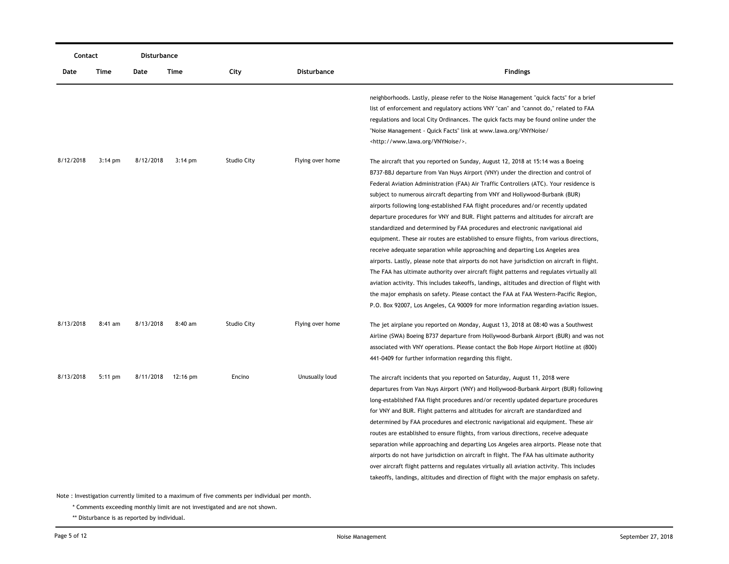|           | Contact                                                                                       |           | Disturbance |                    |                    |                                                                                                                                                                                                                                                                                                                                                                                                                                                                                                                                                                                                                                                                                                                                                                                                                                                                                                                                                                                                                                                                                                                                                                                                                                                                  |  |  |  |
|-----------|-----------------------------------------------------------------------------------------------|-----------|-------------|--------------------|--------------------|------------------------------------------------------------------------------------------------------------------------------------------------------------------------------------------------------------------------------------------------------------------------------------------------------------------------------------------------------------------------------------------------------------------------------------------------------------------------------------------------------------------------------------------------------------------------------------------------------------------------------------------------------------------------------------------------------------------------------------------------------------------------------------------------------------------------------------------------------------------------------------------------------------------------------------------------------------------------------------------------------------------------------------------------------------------------------------------------------------------------------------------------------------------------------------------------------------------------------------------------------------------|--|--|--|
| Date      | Time                                                                                          | Date      | Time        | City               | <b>Disturbance</b> | <b>Findings</b>                                                                                                                                                                                                                                                                                                                                                                                                                                                                                                                                                                                                                                                                                                                                                                                                                                                                                                                                                                                                                                                                                                                                                                                                                                                  |  |  |  |
|           |                                                                                               |           |             |                    |                    | neighborhoods. Lastly, please refer to the Noise Management "quick facts" for a brief<br>list of enforcement and regulatory actions VNY "can" and "cannot do," related to FAA<br>regulations and local City Ordinances. The quick facts may be found online under the<br>"Noise Management - Quick Facts" link at www.lawa.org/VNYNoise/<br><http: vnynoise="" www.lawa.org=""></http:> .                                                                                                                                                                                                                                                                                                                                                                                                                                                                                                                                                                                                                                                                                                                                                                                                                                                                        |  |  |  |
| 8/12/2018 | $3:14 \text{ pm}$                                                                             | 8/12/2018 | $3:14$ pm   | <b>Studio City</b> | Flying over home   | The aircraft that you reported on Sunday, August 12, 2018 at 15:14 was a Boeing<br>B737-BBJ departure from Van Nuys Airport (VNY) under the direction and control of<br>Federal Aviation Administration (FAA) Air Traffic Controllers (ATC). Your residence is<br>subject to numerous aircraft departing from VNY and Hollywood-Burbank (BUR)<br>airports following long-established FAA flight procedures and/or recently updated<br>departure procedures for VNY and BUR. Flight patterns and altitudes for aircraft are<br>standardized and determined by FAA procedures and electronic navigational aid<br>equipment. These air routes are established to ensure flights, from various directions,<br>receive adequate separation while approaching and departing Los Angeles area<br>airports. Lastly, please note that airports do not have jurisdiction on aircraft in flight.<br>The FAA has ultimate authority over aircraft flight patterns and regulates virtually all<br>aviation activity. This includes takeoffs, landings, altitudes and direction of flight with<br>the major emphasis on safety. Please contact the FAA at FAA Western-Pacific Region,<br>P.O. Box 92007, Los Angeles, CA 90009 for more information regarding aviation issues. |  |  |  |
| 8/13/2018 | 8:41 am                                                                                       | 8/13/2018 | 8:40 am     | <b>Studio City</b> | Flying over home   | The jet airplane you reported on Monday, August 13, 2018 at 08:40 was a Southwest<br>Airline (SWA) Boeing B737 departure from Hollywood-Burbank Airport (BUR) and was not<br>associated with VNY operations. Please contact the Bob Hope Airport Hotline at (800)<br>441-0409 for further information regarding this flight.                                                                                                                                                                                                                                                                                                                                                                                                                                                                                                                                                                                                                                                                                                                                                                                                                                                                                                                                     |  |  |  |
| 8/13/2018 | $5:11$ pm                                                                                     | 8/11/2018 | 12:16 pm    | Encino             | Unusually loud     | The aircraft incidents that you reported on Saturday, August 11, 2018 were<br>departures from Van Nuys Airport (VNY) and Hollywood-Burbank Airport (BUR) following<br>long-established FAA flight procedures and/or recently updated departure procedures<br>for VNY and BUR. Flight patterns and altitudes for aircraft are standardized and<br>determined by FAA procedures and electronic navigational aid equipment. These air<br>routes are established to ensure flights, from various directions, receive adequate<br>separation while approaching and departing Los Angeles area airports. Please note that<br>airports do not have jurisdiction on aircraft in flight. The FAA has ultimate authority<br>over aircraft flight patterns and regulates virtually all aviation activity. This includes<br>takeoffs, landings, altitudes and direction of flight with the major emphasis on safety.                                                                                                                                                                                                                                                                                                                                                         |  |  |  |
|           | Note: Investigation currently limited to a maximum of five comments per individual per month. |           |             |                    |                    |                                                                                                                                                                                                                                                                                                                                                                                                                                                                                                                                                                                                                                                                                                                                                                                                                                                                                                                                                                                                                                                                                                                                                                                                                                                                  |  |  |  |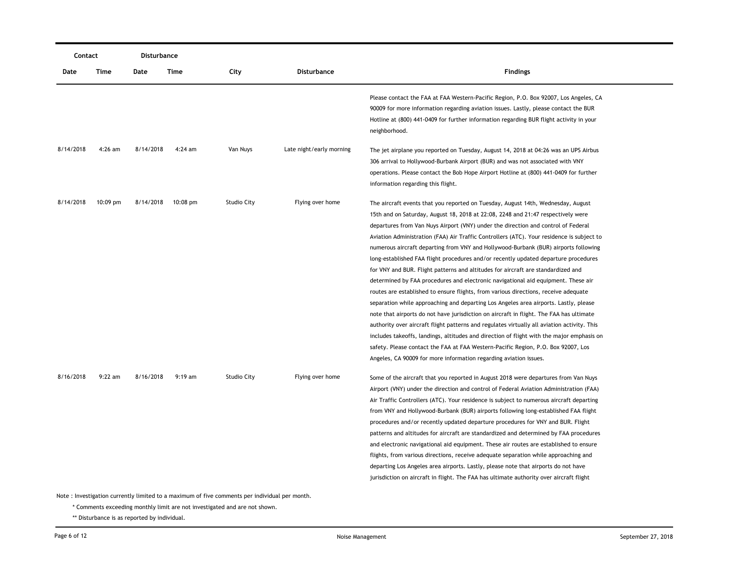| Contact   |            | Disturbance |           |             |                          |                                                                                                                                                                                                                                                                                                                                                                                                                                                                                                                                                                                                                                                                                                                                                                                                                                                                                                                                                                                                                                                                                                                                                                                                                                                                                                                                               |  |
|-----------|------------|-------------|-----------|-------------|--------------------------|-----------------------------------------------------------------------------------------------------------------------------------------------------------------------------------------------------------------------------------------------------------------------------------------------------------------------------------------------------------------------------------------------------------------------------------------------------------------------------------------------------------------------------------------------------------------------------------------------------------------------------------------------------------------------------------------------------------------------------------------------------------------------------------------------------------------------------------------------------------------------------------------------------------------------------------------------------------------------------------------------------------------------------------------------------------------------------------------------------------------------------------------------------------------------------------------------------------------------------------------------------------------------------------------------------------------------------------------------|--|
| Date      | Time       | Date        | Time      | City        | <b>Disturbance</b>       | <b>Findings</b>                                                                                                                                                                                                                                                                                                                                                                                                                                                                                                                                                                                                                                                                                                                                                                                                                                                                                                                                                                                                                                                                                                                                                                                                                                                                                                                               |  |
|           |            |             |           |             |                          | Please contact the FAA at FAA Western-Pacific Region, P.O. Box 92007, Los Angeles, CA<br>90009 for more information regarding aviation issues. Lastly, please contact the BUR<br>Hotline at (800) 441-0409 for further information regarding BUR flight activity in your<br>neighborhood.                                                                                                                                                                                                                                                                                                                                                                                                                                                                                                                                                                                                                                                                                                                                                                                                                                                                                                                                                                                                                                                     |  |
| 8/14/2018 | $4:26$ am  | 8/14/2018   | $4:24$ am | Van Nuys    | Late night/early morning | The jet airplane you reported on Tuesday, August 14, 2018 at 04:26 was an UPS Airbus<br>306 arrival to Hollywood-Burbank Airport (BUR) and was not associated with VNY<br>operations. Please contact the Bob Hope Airport Hotline at (800) 441-0409 for further<br>information regarding this flight.                                                                                                                                                                                                                                                                                                                                                                                                                                                                                                                                                                                                                                                                                                                                                                                                                                                                                                                                                                                                                                         |  |
| 8/14/2018 | $10:09$ pm | 8/14/2018   | 10:08 pm  | Studio City | Flying over home         | The aircraft events that you reported on Tuesday, August 14th, Wednesday, August<br>15th and on Saturday, August 18, 2018 at 22:08, 2248 and 21:47 respectively were<br>departures from Van Nuys Airport (VNY) under the direction and control of Federal<br>Aviation Administration (FAA) Air Traffic Controllers (ATC). Your residence is subject to<br>numerous aircraft departing from VNY and Hollywood-Burbank (BUR) airports following<br>long-established FAA flight procedures and/or recently updated departure procedures<br>for VNY and BUR. Flight patterns and altitudes for aircraft are standardized and<br>determined by FAA procedures and electronic navigational aid equipment. These air<br>routes are established to ensure flights, from various directions, receive adequate<br>separation while approaching and departing Los Angeles area airports. Lastly, please<br>note that airports do not have jurisdiction on aircraft in flight. The FAA has ultimate<br>authority over aircraft flight patterns and regulates virtually all aviation activity. This<br>includes takeoffs, landings, altitudes and direction of flight with the major emphasis on<br>safety. Please contact the FAA at FAA Western-Pacific Region, P.O. Box 92007, Los<br>Angeles, CA 90009 for more information regarding aviation issues. |  |
| 8/16/2018 | $9:22$ am  | 8/16/2018   | $9:19$ am | Studio City | Flying over home         | Some of the aircraft that you reported in August 2018 were departures from Van Nuys<br>Airport (VNY) under the direction and control of Federal Aviation Administration (FAA)<br>Air Traffic Controllers (ATC). Your residence is subject to numerous aircraft departing<br>from VNY and Hollywood-Burbank (BUR) airports following long-established FAA flight<br>procedures and/or recently updated departure procedures for VNY and BUR. Flight<br>patterns and altitudes for aircraft are standardized and determined by FAA procedures<br>and electronic navigational aid equipment. These air routes are established to ensure<br>flights, from various directions, receive adequate separation while approaching and<br>departing Los Angeles area airports. Lastly, please note that airports do not have<br>jurisdiction on aircraft in flight. The FAA has ultimate authority over aircraft flight                                                                                                                                                                                                                                                                                                                                                                                                                                  |  |

\* Comments exceeding monthly limit are not investigated and are not shown.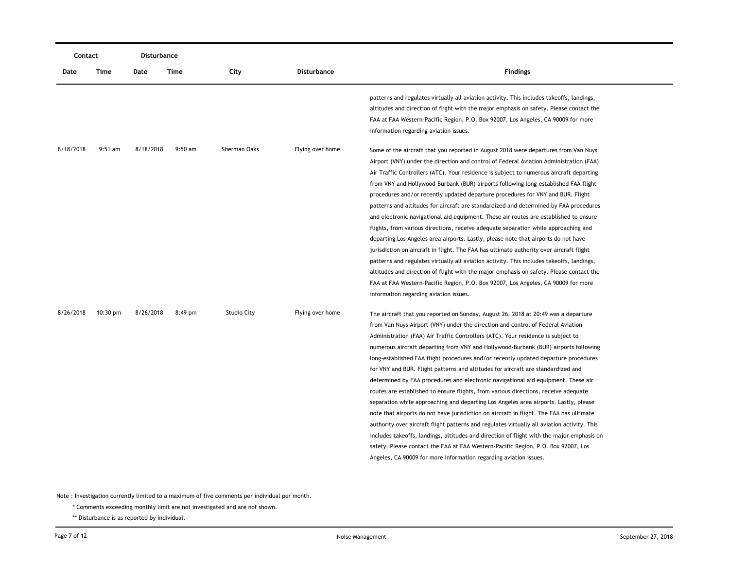| Contact   |           | Disturbance |           |                    |                    |                                                                                                                                                                                                                                                                                                                                                                                                                                                                                                                                                                                                                                                                                                                                                                                                                                                                                                                                                                                                                                                                                                                                                                                                                                                  |
|-----------|-----------|-------------|-----------|--------------------|--------------------|--------------------------------------------------------------------------------------------------------------------------------------------------------------------------------------------------------------------------------------------------------------------------------------------------------------------------------------------------------------------------------------------------------------------------------------------------------------------------------------------------------------------------------------------------------------------------------------------------------------------------------------------------------------------------------------------------------------------------------------------------------------------------------------------------------------------------------------------------------------------------------------------------------------------------------------------------------------------------------------------------------------------------------------------------------------------------------------------------------------------------------------------------------------------------------------------------------------------------------------------------|
| Date      | Time      | Date        | Time      | City               | <b>Disturbance</b> | <b>Findings</b>                                                                                                                                                                                                                                                                                                                                                                                                                                                                                                                                                                                                                                                                                                                                                                                                                                                                                                                                                                                                                                                                                                                                                                                                                                  |
|           |           |             |           |                    |                    | patterns and regulates virtually all aviation activity. This includes takeoffs, landings,<br>altitudes and direction of flight with the major emphasis on safety. Please contact the<br>FAA at FAA Western-Pacific Region, P.O. Box 92007, Los Angeles, CA 90009 for more<br>information regarding aviation issues.                                                                                                                                                                                                                                                                                                                                                                                                                                                                                                                                                                                                                                                                                                                                                                                                                                                                                                                              |
| 8/18/2018 | $9:51$ am | 8/18/2018   | $9:50$ am | Sherman Oaks       | Flying over home   | Some of the aircraft that you reported in August 2018 were departures from Van Nuys<br>Airport (VNY) under the direction and control of Federal Aviation Administration (FAA)<br>Air Traffic Controllers (ATC). Your residence is subject to numerous aircraft departing<br>from VNY and Hollywood-Burbank (BUR) airports following long-established FAA flight<br>procedures and/or recently updated departure procedures for VNY and BUR. Flight<br>patterns and altitudes for aircraft are standardized and determined by FAA procedures<br>and electronic navigational aid equipment. These air routes are established to ensure<br>flights, from various directions, receive adequate separation while approaching and<br>departing Los Angeles area airports. Lastly, please note that airports do not have<br>jurisdiction on aircraft in flight. The FAA has ultimate authority over aircraft flight<br>patterns and regulates virtually all aviation activity. This includes takeoffs, landings,<br>altitudes and direction of flight with the major emphasis on safety. Please contact the<br>FAA at FAA Western-Pacific Region, P.O. Box 92007, Los Angeles, CA 90009 for more<br>information regarding aviation issues.              |
| 8/26/2018 | 10:30 pm  | 8/26/2018   | $8:49$ pm | <b>Studio City</b> | Flying over home   | The aircraft that you reported on Sunday, August 26, 2018 at 20:49 was a departure<br>from Van Nuys Airport (VNY) under the direction and control of Federal Aviation<br>Administration (FAA) Air Traffic Controllers (ATC). Your residence is subject to<br>numerous aircraft departing from VNY and Hollywood-Burbank (BUR) airports following<br>long-established FAA flight procedures and/or recently updated departure procedures<br>for VNY and BUR. Flight patterns and altitudes for aircraft are standardized and<br>determined by FAA procedures and electronic navigational aid equipment. These air<br>routes are established to ensure flights, from various directions, receive adequate<br>separation while approaching and departing Los Angeles area airports. Lastly, please<br>note that airports do not have jurisdiction on aircraft in flight. The FAA has ultimate<br>authority over aircraft flight patterns and regulates virtually all aviation activity. This<br>includes takeoffs, landings, altitudes and direction of flight with the major emphasis on<br>safety. Please contact the FAA at FAA Western-Pacific Region, P.O. Box 92007, Los<br>Angeles, CA 90009 for more information regarding aviation issues. |

\* Comments exceeding monthly limit are not investigated and are not shown.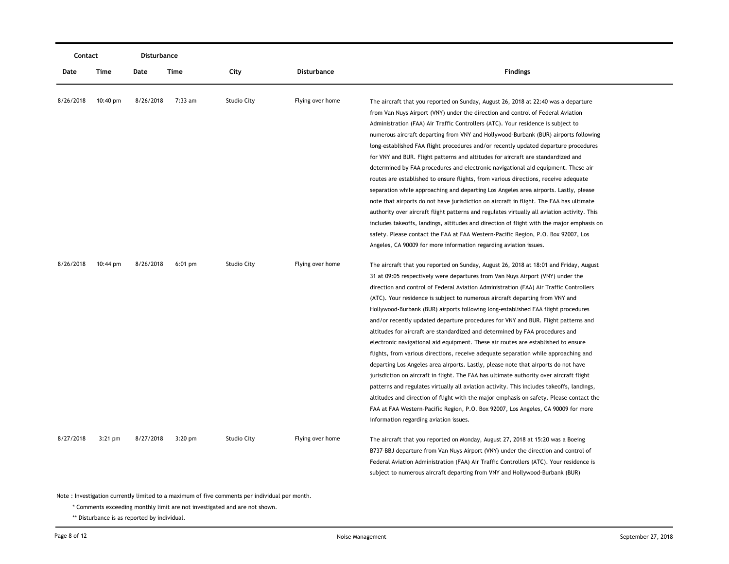| Contact   |           | Disturbance |           |                    |                  |                                                                                                                                                                                                                                                                                                                                                                                                                                                                                                                                                                                                                                                                                                                                                                                                                                                                                                                                                                                                                                                                                                                                                                                                                                                                                                 |
|-----------|-----------|-------------|-----------|--------------------|------------------|-------------------------------------------------------------------------------------------------------------------------------------------------------------------------------------------------------------------------------------------------------------------------------------------------------------------------------------------------------------------------------------------------------------------------------------------------------------------------------------------------------------------------------------------------------------------------------------------------------------------------------------------------------------------------------------------------------------------------------------------------------------------------------------------------------------------------------------------------------------------------------------------------------------------------------------------------------------------------------------------------------------------------------------------------------------------------------------------------------------------------------------------------------------------------------------------------------------------------------------------------------------------------------------------------|
| Date      | Time      | Date        | Time      | City               | Disturbance      | <b>Findings</b>                                                                                                                                                                                                                                                                                                                                                                                                                                                                                                                                                                                                                                                                                                                                                                                                                                                                                                                                                                                                                                                                                                                                                                                                                                                                                 |
| 8/26/2018 | 10:40 pm  | 8/26/2018   | 7:33 am   | <b>Studio City</b> | Flying over home | The aircraft that you reported on Sunday, August 26, 2018 at 22:40 was a departure<br>from Van Nuys Airport (VNY) under the direction and control of Federal Aviation<br>Administration (FAA) Air Traffic Controllers (ATC). Your residence is subject to<br>numerous aircraft departing from VNY and Hollywood-Burbank (BUR) airports following<br>long-established FAA flight procedures and/or recently updated departure procedures<br>for VNY and BUR. Flight patterns and altitudes for aircraft are standardized and<br>determined by FAA procedures and electronic navigational aid equipment. These air<br>routes are established to ensure flights, from various directions, receive adequate<br>separation while approaching and departing Los Angeles area airports. Lastly, please                                                                                                                                                                                                                                                                                                                                                                                                                                                                                                 |
|           |           |             |           |                    |                  | note that airports do not have jurisdiction on aircraft in flight. The FAA has ultimate<br>authority over aircraft flight patterns and regulates virtually all aviation activity. This<br>includes takeoffs, landings, altitudes and direction of flight with the major emphasis on<br>safety. Please contact the FAA at FAA Western-Pacific Region, P.O. Box 92007, Los<br>Angeles, CA 90009 for more information regarding aviation issues.                                                                                                                                                                                                                                                                                                                                                                                                                                                                                                                                                                                                                                                                                                                                                                                                                                                   |
| 8/26/2018 | 10:44 pm  | 8/26/2018   | $6:01$ pm | <b>Studio City</b> | Flying over home | The aircraft that you reported on Sunday, August 26, 2018 at 18:01 and Friday, August<br>31 at 09:05 respectively were departures from Van Nuys Airport (VNY) under the<br>direction and control of Federal Aviation Administration (FAA) Air Traffic Controllers<br>(ATC). Your residence is subject to numerous aircraft departing from VNY and<br>Hollywood-Burbank (BUR) airports following long-established FAA flight procedures<br>and/or recently updated departure procedures for VNY and BUR. Flight patterns and<br>altitudes for aircraft are standardized and determined by FAA procedures and<br>electronic navigational aid equipment. These air routes are established to ensure<br>flights, from various directions, receive adequate separation while approaching and<br>departing Los Angeles area airports. Lastly, please note that airports do not have<br>jurisdiction on aircraft in flight. The FAA has ultimate authority over aircraft flight<br>patterns and regulates virtually all aviation activity. This includes takeoffs, landings,<br>altitudes and direction of flight with the major emphasis on safety. Please contact the<br>FAA at FAA Western-Pacific Region, P.O. Box 92007, Los Angeles, CA 90009 for more<br>information regarding aviation issues. |
| 8/27/2018 | $3:21$ pm | 8/27/2018   | $3:20$ pm | <b>Studio City</b> | Flying over home | The aircraft that you reported on Monday, August 27, 2018 at 15:20 was a Boeing<br>B737-BBJ departure from Van Nuys Airport (VNY) under the direction and control of<br>Federal Aviation Administration (FAA) Air Traffic Controllers (ATC). Your residence is<br>subject to numerous aircraft departing from VNY and Hollywood-Burbank (BUR)                                                                                                                                                                                                                                                                                                                                                                                                                                                                                                                                                                                                                                                                                                                                                                                                                                                                                                                                                   |

\* Comments exceeding monthly limit are not investigated and are not shown.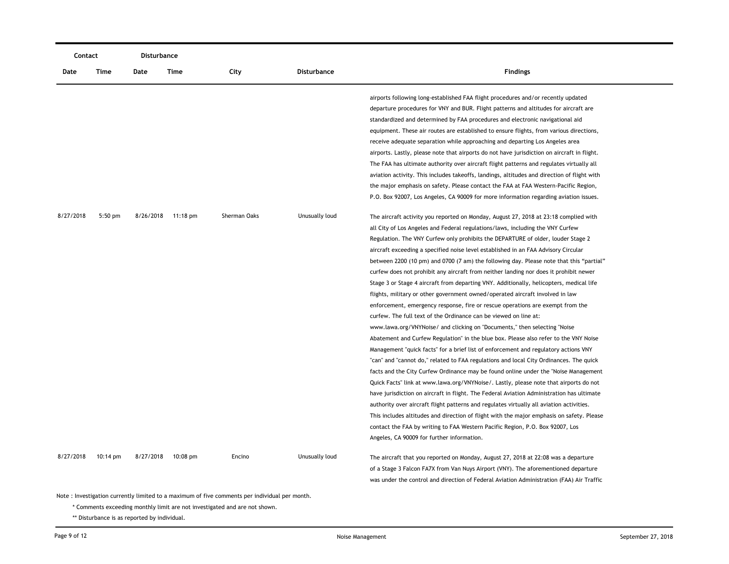|           | Contact            |           | Disturbance        |              |                    |                                                                                             |
|-----------|--------------------|-----------|--------------------|--------------|--------------------|---------------------------------------------------------------------------------------------|
| Date      | Time               | Date      | Time               | City         | <b>Disturbance</b> | <b>Findings</b>                                                                             |
|           |                    |           |                    |              |                    | airports following long-established FAA flight procedures and/or recently updated           |
|           |                    |           |                    |              |                    | departure procedures for VNY and BUR. Flight patterns and altitudes for aircraft are        |
|           |                    |           |                    |              |                    | standardized and determined by FAA procedures and electronic navigational aid               |
|           |                    |           |                    |              |                    | equipment. These air routes are established to ensure flights, from various directions,     |
|           |                    |           |                    |              |                    | receive adequate separation while approaching and departing Los Angeles area                |
|           |                    |           |                    |              |                    | airports. Lastly, please note that airports do not have jurisdiction on aircraft in flight. |
|           |                    |           |                    |              |                    | The FAA has ultimate authority over aircraft flight patterns and regulates virtually all    |
|           |                    |           |                    |              |                    | aviation activity. This includes takeoffs, landings, altitudes and direction of flight with |
|           |                    |           |                    |              |                    | the major emphasis on safety. Please contact the FAA at FAA Western-Pacific Region,         |
|           |                    |           |                    |              |                    | P.O. Box 92007, Los Angeles, CA 90009 for more information regarding aviation issues.       |
| 8/27/2018 | $5:50$ pm          | 8/26/2018 | $11:18 \text{ pm}$ | Sherman Oaks | Unusually loud     | The aircraft activity you reported on Monday, August 27, 2018 at 23:18 complied with        |
|           |                    |           |                    |              |                    | all City of Los Angeles and Federal regulations/laws, including the VNY Curfew              |
|           |                    |           |                    |              |                    | Regulation. The VNY Curfew only prohibits the DEPARTURE of older, louder Stage 2            |
|           |                    |           |                    |              |                    | aircraft exceeding a specified noise level established in an FAA Advisory Circular          |
|           |                    |           |                    |              |                    | between 2200 (10 pm) and 0700 (7 am) the following day. Please note that this "partial"     |
|           |                    |           |                    |              |                    | curfew does not prohibit any aircraft from neither landing nor does it prohibit newer       |
|           |                    |           |                    |              |                    | Stage 3 or Stage 4 aircraft from departing VNY. Additionally, helicopters, medical life     |
|           |                    |           |                    |              |                    | flights, military or other government owned/operated aircraft involved in law               |
|           |                    |           |                    |              |                    | enforcement, emergency response, fire or rescue operations are exempt from the              |
|           |                    |           |                    |              |                    | curfew. The full text of the Ordinance can be viewed on line at:                            |
|           |                    |           |                    |              |                    | www.lawa.org/VNYNoise/ and clicking on "Documents," then selecting "Noise                   |
|           |                    |           |                    |              |                    | Abatement and Curfew Regulation" in the blue box. Please also refer to the VNY Noise        |
|           |                    |           |                    |              |                    | Management "quick facts" for a brief list of enforcement and regulatory actions VNY         |
|           |                    |           |                    |              |                    | "can" and "cannot do," related to FAA regulations and local City Ordinances. The quick      |
|           |                    |           |                    |              |                    | facts and the City Curfew Ordinance may be found online under the "Noise Management"        |
|           |                    |           |                    |              |                    | Quick Facts" link at www.lawa.org/VNYNoise/. Lastly, please note that airports do not       |
|           |                    |           |                    |              |                    | have jurisdiction on aircraft in flight. The Federal Aviation Administration has ultimate   |
|           |                    |           |                    |              |                    | authority over aircraft flight patterns and regulates virtually all aviation activities.    |
|           |                    |           |                    |              |                    | This includes altitudes and direction of flight with the major emphasis on safety. Please   |
|           |                    |           |                    |              |                    | contact the FAA by writing to FAA Western Pacific Region, P.O. Box 92007, Los               |
|           |                    |           |                    |              |                    | Angeles, CA 90009 for further information.                                                  |
| 8/27/2018 | $10:14 \text{ pm}$ | 8/27/2018 | 10:08 pm           | Encino       | Unusually loud     | The aircraft that you reported on Monday, August 27, 2018 at 22:08 was a departure          |
|           |                    |           |                    |              |                    | of a Stage 3 Falcon FA7X from Van Nuys Airport (VNY). The aforementioned departure          |
|           |                    |           |                    |              |                    | was under the control and direction of Federal Aviation Administration (FAA) Air Traffic    |

\* Comments exceeding monthly limit are not investigated and are not shown.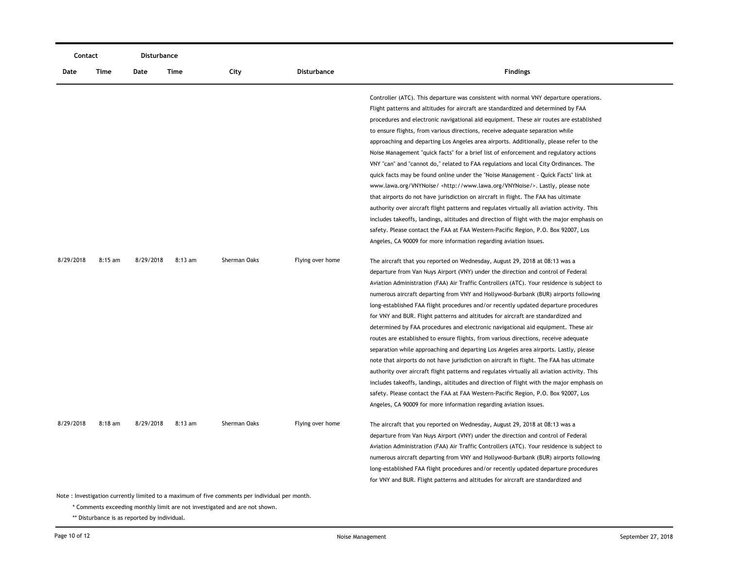| Contact                                                                                        |           | <b>Disturbance</b> |           |              |                    |                                                                                                                                                                                                                                                                                                                                                                                                                                                                                                                                                                                                                                                                                                                                                                                                                                                                                                                                                                                                                                                                                                                                                                                           |  |  |
|------------------------------------------------------------------------------------------------|-----------|--------------------|-----------|--------------|--------------------|-------------------------------------------------------------------------------------------------------------------------------------------------------------------------------------------------------------------------------------------------------------------------------------------------------------------------------------------------------------------------------------------------------------------------------------------------------------------------------------------------------------------------------------------------------------------------------------------------------------------------------------------------------------------------------------------------------------------------------------------------------------------------------------------------------------------------------------------------------------------------------------------------------------------------------------------------------------------------------------------------------------------------------------------------------------------------------------------------------------------------------------------------------------------------------------------|--|--|
| Date                                                                                           | Time      | Date               | Time      | City         | <b>Disturbance</b> | <b>Findings</b>                                                                                                                                                                                                                                                                                                                                                                                                                                                                                                                                                                                                                                                                                                                                                                                                                                                                                                                                                                                                                                                                                                                                                                           |  |  |
|                                                                                                |           |                    |           |              |                    | Controller (ATC). This departure was consistent with normal VNY departure operations.<br>Flight patterns and altitudes for aircraft are standardized and determined by FAA<br>procedures and electronic navigational aid equipment. These air routes are established<br>to ensure flights, from various directions, receive adequate separation while<br>approaching and departing Los Angeles area airports. Additionally, please refer to the<br>Noise Management "quick facts" for a brief list of enforcement and regulatory actions<br>VNY "can" and "cannot do," related to FAA regulations and local City Ordinances. The<br>quick facts may be found online under the "Noise Management - Quick Facts" link at<br>www.lawa.org/VNYNoise/ <http: vnynoise="" www.lawa.org=""></http:> . Lastly, please note<br>that airports do not have jurisdiction on aircraft in flight. The FAA has ultimate<br>authority over aircraft flight patterns and regulates virtually all aviation activity. This<br>includes takeoffs, landings, altitudes and direction of flight with the major emphasis on<br>safety. Please contact the FAA at FAA Western-Pacific Region, P.O. Box 92007, Los |  |  |
| 8/29/2018                                                                                      | $8:15$ am | 8/29/2018          | $8:13$ am | Sherman Oaks | Flying over home   | Angeles, CA 90009 for more information regarding aviation issues.<br>The aircraft that you reported on Wednesday, August 29, 2018 at 08:13 was a                                                                                                                                                                                                                                                                                                                                                                                                                                                                                                                                                                                                                                                                                                                                                                                                                                                                                                                                                                                                                                          |  |  |
|                                                                                                |           |                    |           |              |                    | departure from Van Nuys Airport (VNY) under the direction and control of Federal<br>Aviation Administration (FAA) Air Traffic Controllers (ATC). Your residence is subject to<br>numerous aircraft departing from VNY and Hollywood-Burbank (BUR) airports following<br>long-established FAA flight procedures and/or recently updated departure procedures<br>for VNY and BUR. Flight patterns and altitudes for aircraft are standardized and<br>determined by FAA procedures and electronic navigational aid equipment. These air<br>routes are established to ensure flights, from various directions, receive adequate<br>separation while approaching and departing Los Angeles area airports. Lastly, please<br>note that airports do not have jurisdiction on aircraft in flight. The FAA has ultimate<br>authority over aircraft flight patterns and regulates virtually all aviation activity. This<br>includes takeoffs, landings, altitudes and direction of flight with the major emphasis on<br>safety. Please contact the FAA at FAA Western-Pacific Region, P.O. Box 92007, Los<br>Angeles, CA 90009 for more information regarding aviation issues.                      |  |  |
| 8/29/2018                                                                                      | $8:18$ am | 8/29/2018          | $8:13$ am | Sherman Oaks | Flying over home   | The aircraft that you reported on Wednesday, August 29, 2018 at 08:13 was a<br>departure from Van Nuys Airport (VNY) under the direction and control of Federal<br>Aviation Administration (FAA) Air Traffic Controllers (ATC). Your residence is subject to<br>numerous aircraft departing from VNY and Hollywood-Burbank (BUR) airports following<br>long-established FAA flight procedures and/or recently updated departure procedures<br>for VNY and BUR. Flight patterns and altitudes for aircraft are standardized and                                                                                                                                                                                                                                                                                                                                                                                                                                                                                                                                                                                                                                                            |  |  |
| Note : Investigation currently limited to a maximum of five comments per individual per month. |           |                    |           |              |                    |                                                                                                                                                                                                                                                                                                                                                                                                                                                                                                                                                                                                                                                                                                                                                                                                                                                                                                                                                                                                                                                                                                                                                                                           |  |  |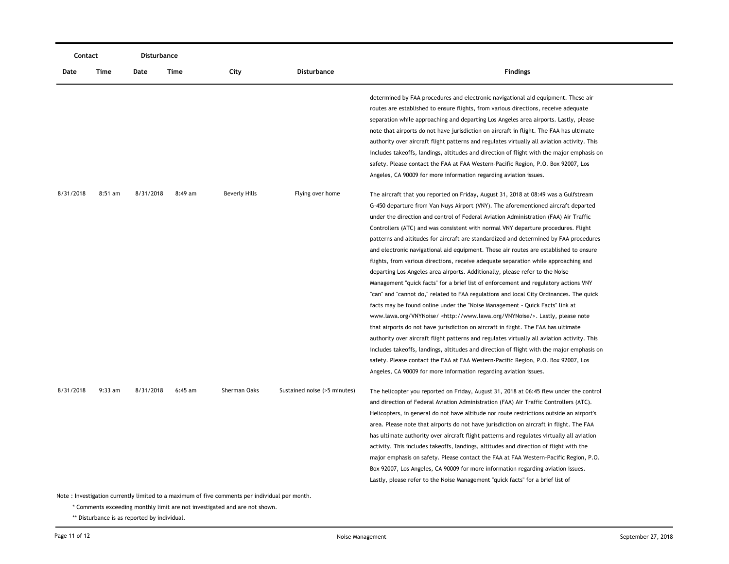| Contact                                                                                        |           | <b>Disturbance</b> |           |                      |                              |                                                                                                                                                                                                                                                                                                                                                                                                                                                                                                                                                                                                                                                                                                                                                                                                                                                                                                                                                                                                                                                                                                                                                                                                                                                                                                                                                                                                                                                                                                                         |  |  |
|------------------------------------------------------------------------------------------------|-----------|--------------------|-----------|----------------------|------------------------------|-------------------------------------------------------------------------------------------------------------------------------------------------------------------------------------------------------------------------------------------------------------------------------------------------------------------------------------------------------------------------------------------------------------------------------------------------------------------------------------------------------------------------------------------------------------------------------------------------------------------------------------------------------------------------------------------------------------------------------------------------------------------------------------------------------------------------------------------------------------------------------------------------------------------------------------------------------------------------------------------------------------------------------------------------------------------------------------------------------------------------------------------------------------------------------------------------------------------------------------------------------------------------------------------------------------------------------------------------------------------------------------------------------------------------------------------------------------------------------------------------------------------------|--|--|
| Date                                                                                           | Time      | Date               | Time      | City                 | <b>Disturbance</b>           | <b>Findings</b>                                                                                                                                                                                                                                                                                                                                                                                                                                                                                                                                                                                                                                                                                                                                                                                                                                                                                                                                                                                                                                                                                                                                                                                                                                                                                                                                                                                                                                                                                                         |  |  |
|                                                                                                |           |                    |           |                      |                              | determined by FAA procedures and electronic navigational aid equipment. These air<br>routes are established to ensure flights, from various directions, receive adequate<br>separation while approaching and departing Los Angeles area airports. Lastly, please<br>note that airports do not have jurisdiction on aircraft in flight. The FAA has ultimate<br>authority over aircraft flight patterns and regulates virtually all aviation activity. This<br>includes takeoffs, landings, altitudes and direction of flight with the major emphasis on<br>safety. Please contact the FAA at FAA Western-Pacific Region, P.O. Box 92007, Los                                                                                                                                                                                                                                                                                                                                                                                                                                                                                                                                                                                                                                                                                                                                                                                                                                                                            |  |  |
|                                                                                                |           |                    |           |                      |                              | Angeles, CA 90009 for more information regarding aviation issues.                                                                                                                                                                                                                                                                                                                                                                                                                                                                                                                                                                                                                                                                                                                                                                                                                                                                                                                                                                                                                                                                                                                                                                                                                                                                                                                                                                                                                                                       |  |  |
| 8/31/2018                                                                                      | $8:51$ am | 8/31/2018          | 8:49 am   | <b>Beverly Hills</b> | Flying over home             | The aircraft that you reported on Friday, August 31, 2018 at 08:49 was a Gulfstream<br>G-450 departure from Van Nuys Airport (VNY). The aforementioned aircraft departed<br>under the direction and control of Federal Aviation Administration (FAA) Air Traffic<br>Controllers (ATC) and was consistent with normal VNY departure procedures. Flight<br>patterns and altitudes for aircraft are standardized and determined by FAA procedures<br>and electronic navigational aid equipment. These air routes are established to ensure<br>flights, from various directions, receive adequate separation while approaching and<br>departing Los Angeles area airports. Additionally, please refer to the Noise<br>Management "quick facts" for a brief list of enforcement and regulatory actions VNY<br>"can" and "cannot do," related to FAA regulations and local City Ordinances. The quick<br>facts may be found online under the "Noise Management - Quick Facts" link at<br>www.lawa.org/VNYNoise/ <http: vnynoise="" www.lawa.org=""></http:> . Lastly, please note<br>that airports do not have jurisdiction on aircraft in flight. The FAA has ultimate<br>authority over aircraft flight patterns and regulates virtually all aviation activity. This<br>includes takeoffs, landings, altitudes and direction of flight with the major emphasis on<br>safety. Please contact the FAA at FAA Western-Pacific Region, P.O. Box 92007, Los<br>Angeles, CA 90009 for more information regarding aviation issues. |  |  |
| 8/31/2018                                                                                      | $9:33$ am | 8/31/2018          | $6:45$ am | Sherman Oaks         | Sustained noise (>5 minutes) | The helicopter you reported on Friday, August 31, 2018 at 06:45 flew under the control<br>and direction of Federal Aviation Administration (FAA) Air Traffic Controllers (ATC).<br>Helicopters, in general do not have altitude nor route restrictions outside an airport's<br>area. Please note that airports do not have jurisdiction on aircraft in flight. The FAA<br>has ultimate authority over aircraft flight patterns and regulates virtually all aviation<br>activity. This includes takeoffs, landings, altitudes and direction of flight with the<br>major emphasis on safety. Please contact the FAA at FAA Western-Pacific Region, P.O.<br>Box 92007, Los Angeles, CA 90009 for more information regarding aviation issues.<br>Lastly, please refer to the Noise Management "quick facts" for a brief list of                                                                                                                                                                                                                                                                                                                                                                                                                                                                                                                                                                                                                                                                                             |  |  |
| Note : Investigation currently limited to a maximum of five comments per individual per month. |           |                    |           |                      |                              |                                                                                                                                                                                                                                                                                                                                                                                                                                                                                                                                                                                                                                                                                                                                                                                                                                                                                                                                                                                                                                                                                                                                                                                                                                                                                                                                                                                                                                                                                                                         |  |  |